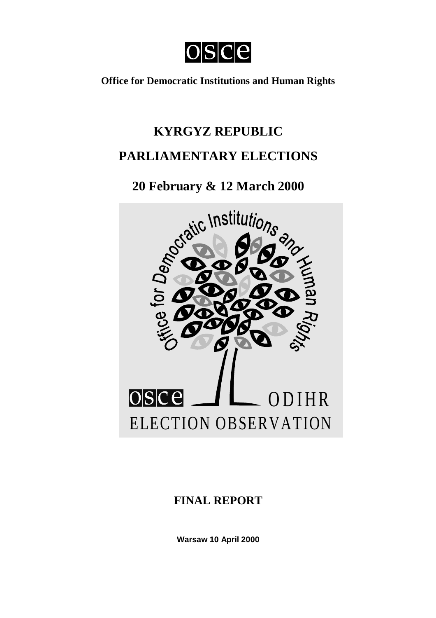

**Office for Democratic Institutions and Human Rights**

# **KYRGYZ REPUBLIC PARLIAMENTARY ELECTIONS**

## **20 February & 12 March 2000**



### **FINAL REPORT**

**Warsaw 10 April 2000**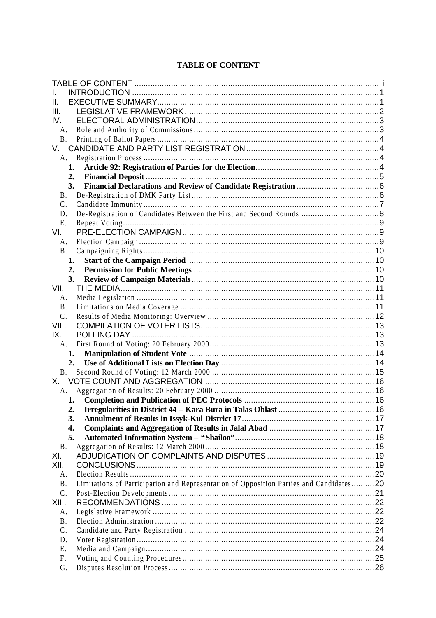| ΙΙ.       |                                                                                        |  |
|-----------|----------------------------------------------------------------------------------------|--|
| III.      |                                                                                        |  |
| IV.       |                                                                                        |  |
| A.        |                                                                                        |  |
| <b>B.</b> |                                                                                        |  |
| V.        |                                                                                        |  |
| A.        |                                                                                        |  |
| 1.        |                                                                                        |  |
| 2.        |                                                                                        |  |
| 3.        |                                                                                        |  |
| <b>B.</b> |                                                                                        |  |
| C.        |                                                                                        |  |
| D.        |                                                                                        |  |
| Е.        |                                                                                        |  |
| VI.       |                                                                                        |  |
| A.        |                                                                                        |  |
| <b>B.</b> |                                                                                        |  |
| 1.        |                                                                                        |  |
| 2.        |                                                                                        |  |
| 3.        |                                                                                        |  |
| VII.      |                                                                                        |  |
| A.        |                                                                                        |  |
| <b>B.</b> |                                                                                        |  |
| $C$ .     |                                                                                        |  |
| VIII.     |                                                                                        |  |
| IX.       |                                                                                        |  |
| A.        |                                                                                        |  |
|           | 1.                                                                                     |  |
|           | 2.                                                                                     |  |
| <b>B.</b> |                                                                                        |  |
| Х.        |                                                                                        |  |
| A.        |                                                                                        |  |
|           | 1.                                                                                     |  |
| 2.        |                                                                                        |  |
| 3.        |                                                                                        |  |
| 4.        |                                                                                        |  |
| 5.        |                                                                                        |  |
| <b>B.</b> |                                                                                        |  |
| XI.       |                                                                                        |  |
| XII.      |                                                                                        |  |
| A.        |                                                                                        |  |
| <b>B.</b> | Limitations of Participation and Representation of Opposition Parties and Candidates20 |  |
| C.        |                                                                                        |  |
| XIII.     |                                                                                        |  |
| A.        |                                                                                        |  |
| <b>B.</b> |                                                                                        |  |
| C.        |                                                                                        |  |
| D.        |                                                                                        |  |
| Е.        |                                                                                        |  |
| F.        |                                                                                        |  |
| G.        |                                                                                        |  |

#### **TABLE OF CONTENT**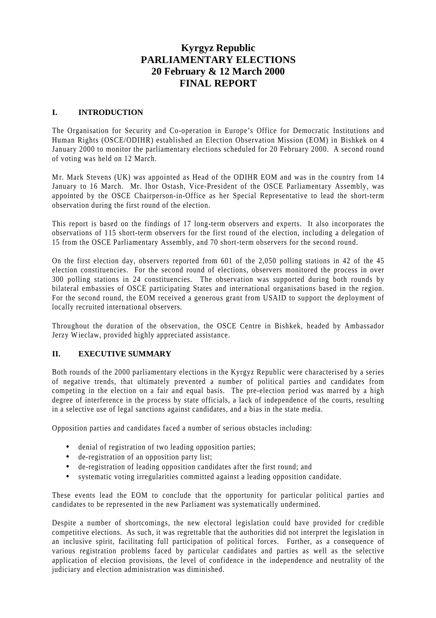### **Kyrgyz Republic PARLIAMENTARY ELECTIONS 20 February & 12 March 2000 FINAL REPORT**

#### **I. INTRODUCTION**

The Organisation for Security and Co-operation in Europe's Office for Democratic Institutions and Human Rights (OSCE/ODIHR) established an Election Observation Mission (EOM) in Bishkek on 4 January 2000 to monitor the parliamentary elections scheduled for 20 February 2000. A second round of voting was held on 12 March.

Mr. Mark Stevens (UK) was appointed as Head of the ODIHR EOM and was in the country from 14 January to 16 March. Mr. Ihor Ostash, Vice-President of the OSCE Parliamentary Assembly, was appointed by the OSCE Chairperson-in-Office as her Special Representative to lead the short-term observation during the first round of the election.

This report is based on the findings of 17 long-term observers and experts. It also incorporates the observations of 115 short-term observers for the first round of the election, including a delegation of 15 from the OSCE Parliamentary Assembly, and 70 short-term observers for the second round.

On the first election day, observers reported from 601 of the 2,050 polling stations in 42 of the 45 election constituencies. For the second round of elections, observers monitored the process in over 300 polling stations in 24 constituencies. The observation was supported during both rounds by bilateral embassies of OSCE participating States and international organisations based in the region. For the second round, the EOM received a generous grant from USAID to support the deployment of locally recruited international observers.

Throughout the duration of the observation, the OSCE Centre in Bishkek, headed by Ambassador Jerzy Wieclaw, provided highly appreciated assistance.

#### **II. EXECUTIVE SUMMARY**

Both rounds of the 2000 parliamentary elections in the Kyrgyz Republic were characterised by a series of negative trends, that ultimately prevented a number of political parties and candidates from competing in the election on a fair and equal basis. The pre-election period was marred by a high degree of interference in the process by state officials, a lack of independence of the courts, resulting in a selective use of legal sanctions against candidates, and a bias in the state media.

Opposition parties and candidates faced a number of serious obstacles including:

- denial of registration of two leading opposition parties;
- de-registration of an opposition party list;
- de-registration of leading opposition candidates after the first round; and
- systematic voting irregularities committed against a leading opposition candidate.

These events lead the EOM to conclude that the opportunity for particular political parties and candidates to be represented in the new Parliament was systematically undermined.

Despite a number of shortcomings, the new electoral legislation could have provided for credible competitive elections. As such, it was regrettable that the authorities did not interpret the legislation in an inclusive spirit, facilitating full participation of political forces. Further, as a consequence of various registration problems faced by particular candidates and parties as well as the selective application of election provisions, the level of confidence in the independence and neutrality of the judiciary and election administration was diminished.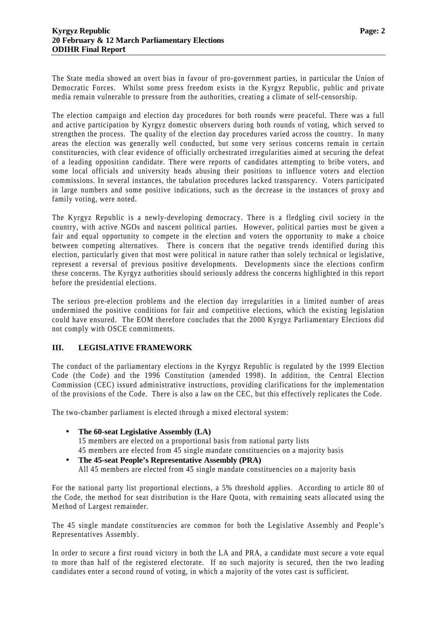The State media showed an overt bias in favour of pro-government parties, in particular the Union of Democratic Forces. Whilst some press freedom exists in the Kyrgyz Republic, public and private media remain vulnerable to pressure from the authorities, creating a climate of self-censorship.

The election campaign and election day procedures for both rounds were peaceful. There was a full and active participation by Kyrgyz domestic observers during both rounds of voting, which served to strengthen the process. The quality of the election day procedures varied across the country. In many areas the election was generally well conducted, but some very serious concerns remain in certain constituencies, with clear evidence of officially orchestrated irregularities aimed at securing the defeat of a leading opposition candidate. There were reports of candidates attempting to bribe voters, and some local officials and university heads abusing their positions to influence voters and election commissions. In several instances, the tabulation procedures lacked transparency. Voters participated in large numbers and some positive indications, such as the decrease in the instances of proxy and family voting, were noted.

The Kyrgyz Republic is a newly-developing democracy. There is a fledgling civil society in the country, with active NGOs and nascent political parties. However, political parties must be given a fair and equal opportunity to compete in the election and voters the opportunity to make a choice between competing alternatives. There is concern that the negative trends identified during this election, particularly given that most were political in nature rather than solely technical or legislative, represent a reversal of previous positive developments. Developments since the elections confirm these concerns. The Kyrgyz authorities should seriously address the concerns highlighted in this report before the presidential elections.

The serious pre-election problems and the election day irregularities in a limited number of areas undermined the positive conditions for fair and competitive elections, which the existing legislation could have ensured. The EOM therefore concludes that the 2000 Kyrgyz Parliamentary Elections did not comply with OSCE commitments.

#### **III. LEGISLATIVE FRAMEWORK**

The conduct of the parliamentary elections in the Kyrgyz Republic is regulated by the 1999 Election Code (the Code) and the 1996 Constitution (amended 1998). In addition, the Central Election Commission (CEC) issued administrative instructions, providing clarifications for the implementation of the provisions of the Code. There is also a law on the CEC, but this effectively replicates the Code.

The two-chamber parliament is elected through a mixed electoral system:

- **The 60-seat Legislative Assembly (LA)** 15 members are elected on a proportional basis from national party lists 45 members are elected from 45 single mandate constituencies on a majority basis
- **The 45-seat People's Representative Assembly (PRA)** All 45 members are elected from 45 single mandate constituencies on a majority basis

For the national party list proportional elections, a 5% threshold applies. According to article 80 of the Code, the method for seat distribution is the Hare Quota, with remaining seats allocated using the Method of Largest remainder.

The 45 single mandate constituencies are common for both the Legislative Assembly and People's Representatives Assembly.

In order to secure a first round victory in both the LA and PRA, a candidate must secure a vote equal to more than half of the registered electorate. If no such majority is secured, then the two leading candidates enter a second round of voting, in which a majority of the votes cast is sufficient.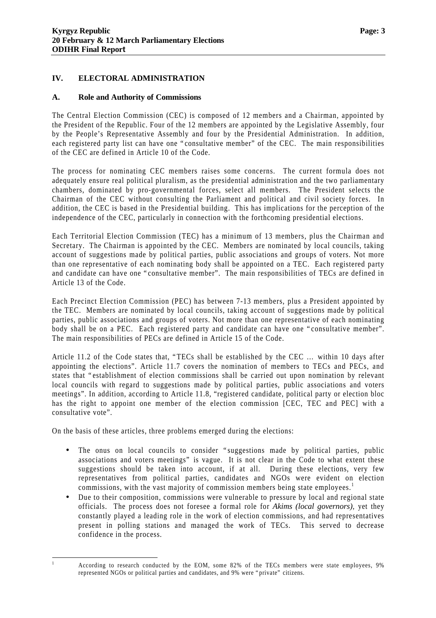#### **IV. ELECTORAL ADMINISTRATION**

#### **A. Role and Authority of Commissions**

The Central Election Commission (CEC) is composed of 12 members and a Chairman, appointed by the President of the Republic. Four of the 12 members are appointed by the Legislative Assembly, four by the People's Representative Assembly and four by the Presidential Administration. In addition, each registered party list can have one "consultative member" of the CEC. The main responsibilities of the CEC are defined in Article 10 of the Code.

The process for nominating CEC members raises some concerns. The current formula does not adequately ensure real political pluralism, as the presidential administration and the two parliamentary chambers, dominated by pro-governmental forces, select all members. The President selects the Chairman of the CEC without consulting the Parliament and political and civil society forces. In addition, the CEC is based in the Presidential building. This has implications for the perception of the independence of the CEC, particularly in connection with the forthcoming presidential elections.

Each Territorial Election Commission (TEC) has a minimum of 13 members, plus the Chairman and Secretary. The Chairman is appointed by the CEC. Members are nominated by local councils, taking account of suggestions made by political parties, public associations and groups of voters. Not more than one representative of each nominating body shall be appointed on a TEC. Each registered party and candidate can have one "consultative member". The main responsibilities of TECs are defined in Article 13 of the Code.

Each Precinct Election Commission (PEC) has between 7-13 members, plus a President appointed by the TEC. Members are nominated by local councils, taking account of suggestions made by political parties, public associations and groups of voters. Not more than one representative of each nominating body shall be on a PEC. Each registered party and candidate can have one "consultative member". The main responsibilities of PECs are defined in Article 15 of the Code.

Article 11.2 of the Code states that, "TECs shall be established by the CEC … within 10 days after appointing the elections". Article 11.7 covers the nomination of members to TECs and PECs, and states that "establishment of election commissions shall be carried out upon nomination by relevant local councils with regard to suggestions made by political parties, public associations and voters meetings". In addition, according to Article 11.8, "registered candidate, political party or election bloc has the right to appoint one member of the election commission [CEC, TEC and PEC] with a consultative vote".

On the basis of these articles, three problems emerged during the elections:

- The onus on local councils to consider "suggestions made by political parties, public associations and voters meetings" is vague. It is not clear in the Code to what extent these suggestions should be taken into account, if at all. During these elections, very few representatives from political parties, candidates and NGOs were evident on election commissions, with the vast majority of commission members being state employees.<sup>1</sup>
- Due to their composition, commissions were vulnerable to pressure by local and regional state officials. The process does not foresee a formal role for *Akims (local governors)*, yet they constantly played a leading role in the work of election commissions, and had representatives present in polling stations and managed the work of TECs. This served to decrease confidence in the process.

 $\overline{a}$ 

<sup>1</sup> According to research conducted by the EOM, some 82% of the TECs members were state employees, 9% represented NGOs or political parties and candidates, and 9% were "private" citizens.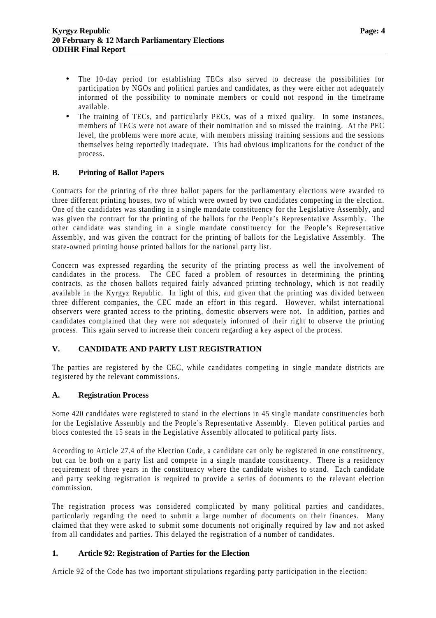- The 10-day period for establishing TECs also served to decrease the possibilities for participation by NGOs and political parties and candidates, as they were either not adequately informed of the possibility to nominate members or could not respond in the timeframe available.
- The training of TECs, and particularly PECs, was of a mixed quality. In some instances, members of TECs were not aware of their nomination and so missed the training. At the PEC level, the problems were more acute, with members missing training sessions and the sessions themselves being reportedly inadequate. This had obvious implications for the conduct of the process.

#### **B. Printing of Ballot Papers**

Contracts for the printing of the three ballot papers for the parliamentary elections were awarded to three different printing houses, two of which were owned by two candidates competing in the election. One of the candidates was standing in a single mandate constituency for the Legislative Assembly, and was given the contract for the printing of the ballots for the People's Representative Assembly. The other candidate was standing in a single mandate constituency for the People's Representative Assembly, and was given the contract for the printing of ballots for the Legislative Assembly. The state-owned printing house printed ballots for the national party list.

Concern was expressed regarding the security of the printing process as well the involvement of candidates in the process. The CEC faced a problem of resources in determining the printing contracts, as the chosen ballots required fairly advanced printing technology, which is not readily available in the Kyrgyz Republic. In light of this, and given that the printing was divided between three different companies, the CEC made an effort in this regard. However, whilst international observers were granted access to the printing, domestic observers were not. In addition, parties and candidates complained that they were not adequately informed of their right to observe the printing process. This again served to increase their concern regarding a key aspect of the process.

#### **V. CANDIDATE AND PARTY LIST REGISTRATION**

The parties are registered by the CEC, while candidates competing in single mandate districts are registered by the relevant commissions.

#### **A. Registration Process**

Some 420 candidates were registered to stand in the elections in 45 single mandate constituencies both for the Legislative Assembly and the People's Representative Assembly. Eleven political parties and blocs contested the 15 seats in the Legislative Assembly allocated to political party lists.

According to Article 27.4 of the Election Code, a candidate can only be registered in one constituency, but can be both on a party list and compete in a single mandate constituency. There is a residency requirement of three years in the constituency where the candidate wishes to stand. Each candidate and party seeking registration is required to provide a series of documents to the relevant election commission.

The registration process was considered complicated by many political parties and candidates, particularly regarding the need to submit a large number of documents on their finances. Many claimed that they were asked to submit some documents not originally required by law and not asked from all candidates and parties. This delayed the registration of a number of candidates.

#### **1. Article 92: Registration of Parties for the Election**

Article 92 of the Code has two important stipulations regarding party participation in the election: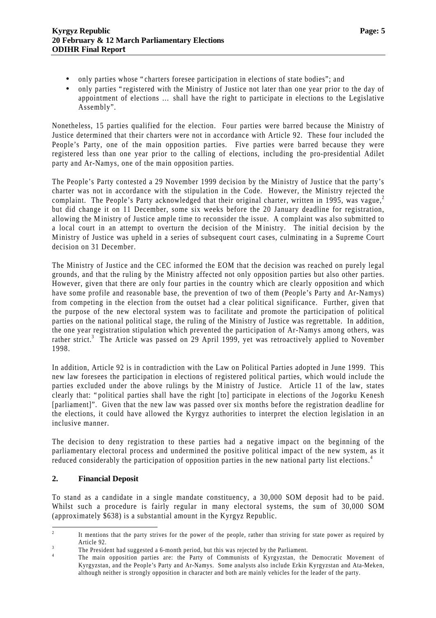- only parties whose "charters foresee participation in elections of state bodies"; and
- only parties "registered with the Ministry of Justice not later than one year prior to the day of appointment of elections … shall have the right to participate in elections to the Legislative Assembly".

Nonetheless, 15 parties qualified for the election. Four parties were barred because the Ministry of Justice determined that their charters were not in accordance with Article 92. These four included the People's Party, one of the main opposition parties. Five parties were barred because they were registered less than one year prior to the calling of elections, including the pro-presidential Adilet party and Ar-Namys, one of the main opposition parties.

The People's Party contested a 29 November 1999 decision by the Ministry of Justice that the party's charter was not in accordance with the stipulation in the Code. However, the Ministry rejected the complaint. The People's Party acknowledged that their original charter, written in 1995, was vague, $2\pi$ but did change it on 11 December, some six weeks before the 20 January deadline for registration, allowing the Ministry of Justice ample time to reconsider the issue. A complaint was also submitted to a local court in an attempt to overturn the decision of the Ministry. The initial decision by the Ministry of Justice was upheld in a series of subsequent court cases, culminating in a Supreme Court decision on 31 December.

The Ministry of Justice and the CEC informed the EOM that the decision was reached on purely legal grounds, and that the ruling by the Ministry affected not only opposition parties but also other parties. However, given that there are only four parties in the country which are clearly opposition and which have some profile and reasonable base, the prevention of two of them (People's Party and Ar-Namys) from competing in the election from the outset had a clear political significance. Further, given that the purpose of the new electoral system was to facilitate and promote the participation of political parties on the national political stage, the ruling of the Ministry of Justice was regrettable. In addition, the one year registration stipulation which prevented the participation of Ar-Namys among others, was rather strict.<sup>3</sup> The Article was passed on 29 April 1999, yet was retroactively applied to November 1998.

In addition, Article 92 is in contradiction with the Law on Political Parties adopted in June 1999. This new law foresees the participation in elections of registered political parties, which would include the parties excluded under the above rulings by the Ministry of Justice. Article 11 of the law, states clearly that: "political parties shall have the right [to] participate in elections of the Jogorku Kenesh [parliament]". Given that the new law was passed over six months before the registration deadline for the elections, it could have allowed the Kyrgyz authorities to interpret the election legislation in an inclusive manner.

The decision to deny registration to these parties had a negative impact on the beginning of the parliamentary electoral process and undermined the positive political impact of the new system, as it reduced considerably the participation of opposition parties in the new national party list elections.<sup>4</sup>

#### **2. Financial Deposit**

To stand as a candidate in a single mandate constituency, a 30,000 SOM deposit had to be paid. Whilst such a procedure is fairly regular in many electoral systems, the sum of 30,000 SOM (approximately \$638) is a substantial amount in the Kyrgyz Republic.

 $\frac{1}{2}$ It mentions that the party strives for the power of the people, rather than striving for state power as required by Article 92.

<sup>3</sup> The President had suggested a 6-month period, but this was rejected by the Parliament.

<sup>4</sup> The main opposition parties are: the Party of Communists of Kyrgyzstan, the Democratic Movement of Kyrgyzstan, and the People's Party and Ar-Namys. Some analysts also include Erkin Kyrgyzstan and Ata-Meken, although neither is strongly opposition in character and both are mainly vehicles for the leader of the party.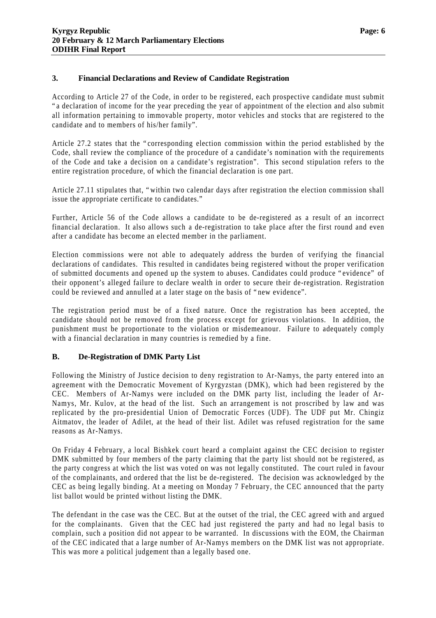#### **3. Financial Declarations and Review of Candidate Registration**

According to Article 27 of the Code, in order to be registered, each prospective candidate must submit "a declaration of income for the year preceding the year of appointment of the election and also submit all information pertaining to immovable property, motor vehicles and stocks that are registered to the candidate and to members of his/her family".

Article 27.2 states that the "corresponding election commission within the period established by the Code, shall review the compliance of the procedure of a candidate's nomination with the requirements of the Code and take a decision on a candidate's registration". This second stipulation refers to the entire registration procedure, of which the financial declaration is one part.

Article 27.11 stipulates that, "within two calendar days after registration the election commission shall issue the appropriate certificate to candidates."

Further, Article 56 of the Code allows a candidate to be de-registered as a result of an incorrect financial declaration. It also allows such a de-registration to take place after the first round and even after a candidate has become an elected member in the parliament.

Election commissions were not able to adequately address the burden of verifying the financial declarations of candidates. This resulted in candidates being registered without the proper verification of submitted documents and opened up the system to abuses. Candidates could produce "evidence" of their opponent's alleged failure to declare wealth in order to secure their de-registration. Registration could be reviewed and annulled at a later stage on the basis of "new evidence".

The registration period must be of a fixed nature. Once the registration has been accepted, the candidate should not be removed from the process except for grievous violations. In addition, the punishment must be proportionate to the violation or misdemeanour. Failure to adequately comply with a financial declaration in many countries is remedied by a fine.

#### **B. De-Registration of DMK Party List**

Following the Ministry of Justice decision to deny registration to Ar-Namys, the party entered into an agreement with the Democratic Movement of Kyrgyzstan (DMK), which had been registered by the CEC. Members of Ar-Namys were included on the DMK party list, including the leader of Ar-Namys, Mr. Kulov, at the head of the list. Such an arrangement is not proscribed by law and was replicated by the pro-presidential Union of Democratic Forces (UDF). The UDF put Mr. Chingiz Aitmatov, the leader of Adilet, at the head of their list. Adilet was refused registration for the same reasons as Ar-Namys.

On Friday 4 February, a local Bishkek court heard a complaint against the CEC decision to register DMK submitted by four members of the party claiming that the party list should not be registered, as the party congress at which the list was voted on was not legally constituted. The court ruled in favour of the complainants, and ordered that the list be de-registered. The decision was acknowledged by the CEC as being legally binding. At a meeting on Monday 7 February, the CEC announced that the party list ballot would be printed without listing the DMK.

The defendant in the case was the CEC. But at the outset of the trial, the CEC agreed with and argued for the complainants. Given that the CEC had just registered the party and had no legal basis to complain, such a position did not appear to be warranted. In discussions with the EOM, the Chairman of the CEC indicated that a large number of Ar-Namys members on the DMK list was not appropriate. This was more a political judgement than a legally based one.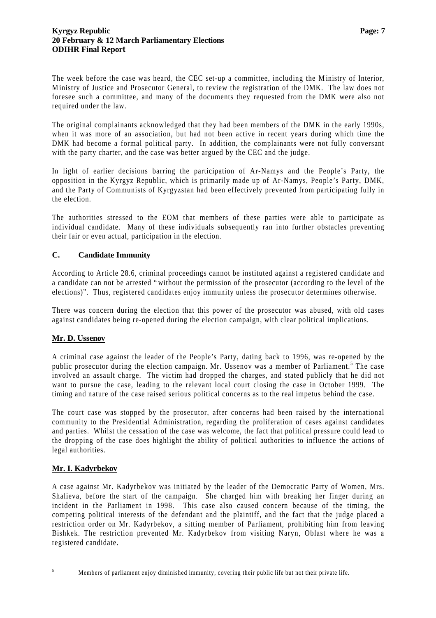The week before the case was heard, the CEC set-up a committee, including the Ministry of Interior, Ministry of Justice and Prosecutor General, to review the registration of the DMK. The law does not foresee such a committee, and many of the documents they requested from the DMK were also not required under the law.

The original complainants acknowledged that they had been members of the DMK in the early 1990s, when it was more of an association, but had not been active in recent years during which time the DMK had become a formal political party. In addition, the complainants were not fully conversant with the party charter, and the case was better argued by the CEC and the judge.

In light of earlier decisions barring the participation of Ar-Namys and the People's Party, the opposition in the Kyrgyz Republic, which is primarily made up of Ar-Namys, People's Party, DMK, and the Party of Communists of Kyrgyzstan had been effectively prevented from participating fully in the election.

The authorities stressed to the EOM that members of these parties were able to participate as individual candidate. Many of these individuals subsequently ran into further obstacles preventing their fair or even actual, participation in the election.

#### **C. Candidate Immunity**

According to Article 28.6, criminal proceedings cannot be instituted against a registered candidate and a candidate can not be arrested "without the permission of the prosecutor (according to the level of the elections)". Thus, registered candidates enjoy immunity unless the prosecutor determines otherwise.

There was concern during the election that this power of the prosecutor was abused, with old cases against candidates being re-opened during the election campaign, with clear political implications.

#### **Mr. D. Ussenov**

A criminal case against the leader of the People's Party, dating back to 1996, was re-opened by the public prosecutor during the election campaign. Mr. Ussenov was a member of Parliament.<sup>5</sup> The case involved an assault charge. The victim had dropped the charges, and stated publicly that he did not want to pursue the case, leading to the relevant local court closing the case in October 1999. The timing and nature of the case raised serious political concerns as to the real impetus behind the case.

The court case was stopped by the prosecutor, after concerns had been raised by the international community to the Presidential Administration, regarding the proliferation of cases against candidates and parties. Whilst the cessation of the case was welcome, the fact that political pressure could lead to the dropping of the case does highlight the ability of political authorities to influence the actions of legal authorities.

#### **Mr. I. Kadyrbekov**

A case against Mr. Kadyrbekov was initiated by the leader of the Democratic Party of Women, Mrs. Shalieva, before the start of the campaign. She charged him with breaking her finger during an incident in the Parliament in 1998. This case also caused concern because of the timing, the competing political interests of the defendant and the plaintiff, and the fact that the judge placed a restriction order on Mr. Kadyrbekov, a sitting member of Parliament, prohibiting him from leaving Bishkek. The restriction prevented Mr. Kadyrbekov from visiting Naryn, Oblast where he was a registered candidate.

 $\overline{5}$ 

Members of parliament enjoy diminished immunity, covering their public life but not their private life.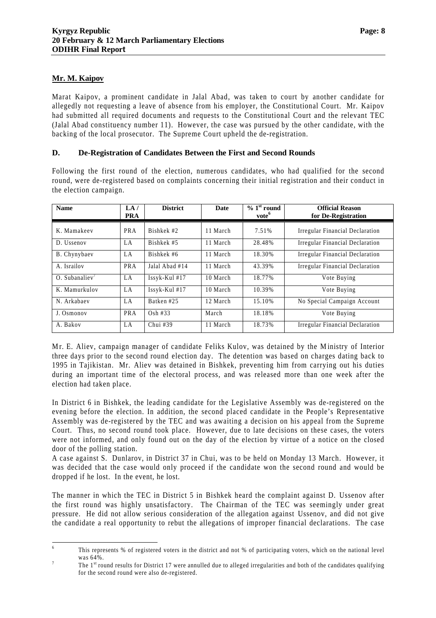#### **Mr. M. Kaipov**

Marat Kaipov, a prominent candidate in Jalal Abad, was taken to court by another candidate for allegedly not requesting a leave of absence from his employer, the Constitutional Court. Mr. Kaipov had submitted all required documents and requests to the Constitutional Court and the relevant TEC (Jalal Abad constituency number 11). However, the case was pursued by the other candidate, with the backing of the local prosecutor. The Supreme Court upheld the de-registration.

#### **D. De-Registration of Candidates Between the First and Second Rounds**

Following the first round of the election, numerous candidates, who had qualified for the second round, were de-registered based on complaints concerning their initial registration and their conduct in the election campaign.

| <b>Name</b>     | LA/<br><b>PRA</b> | <b>District</b> | <b>Date</b> | $\%$ 1 <sup>st</sup> round<br>vote <sup>6</sup> | <b>Official Reason</b><br>for De-Registration |
|-----------------|-------------------|-----------------|-------------|-------------------------------------------------|-----------------------------------------------|
| K. Mamakeev     | PRA               | Bishkek #2      | 11 March    | 7.51%                                           | <b>Irregular Financial Declaration</b>        |
| D. Ussenov      | LA                | Bishkek #5      | 11 March    | 28.48%                                          | <b>Irregular Financial Declaration</b>        |
| B. Chynybaev    | LA                | Bishkek #6      | 11 March    | 18.30%                                          | <b>Irregular Financial Declaration</b>        |
| A. Israilov     | PRA               | Jalal Abad #14  | 11 March    | 43.39%                                          | Irregular Financial Declaration               |
| $O.$ Subanaliev | LA                | Issyk-Kul #17   | 10 March    | 18.77%                                          | Vote Buying                                   |
| K. Mamurkulov   | LA                | Issyk-Kul #17   | 10 March    | 10.39%                                          | Vote Buying                                   |
| N. Arkabaev     | LA                | Batken #25      | 12 March    | 15.10%                                          | No Special Campaign Account                   |
| J. Osmonov      | <b>PRA</b>        | $Osh$ #33       | March       | 18.18%                                          | Vote Buying                                   |
| A. Bakov        | LA                | Chui $#39$      | 11 March    | 18.73%                                          | <b>Irregular Financial Declaration</b>        |

Mr. E. Aliev, campaign manager of candidate Feliks Kulov, was detained by the Ministry of Interior three days prior to the second round election day. The detention was based on charges dating back to 1995 in Tajikistan. Mr. Aliev was detained in Bishkek, preventing him from carrying out his duties during an important time of the electoral process, and was released more than one week after the election had taken place.

In District 6 in Bishkek, the leading candidate for the Legislative Assembly was de-registered on the evening before the election. In addition, the second placed candidate in the People's Representative Assembly was de-registered by the TEC and was awaiting a decision on his appeal from the Supreme Court. Thus, no second round took place. However, due to late decisions on these cases, the voters were not informed, and only found out on the day of the election by virtue of a notice on the closed door of the polling station.

A case against S. Dunlarov, in District 37 in Chui, was to be held on Monday 13 March. However, it was decided that the case would only proceed if the candidate won the second round and would be dropped if he lost. In the event, he lost.

The manner in which the TEC in District 5 in Bishkek heard the complaint against D. Ussenov after the first round was highly unsatisfactory. The Chairman of the TEC was seemingly under great pressure. He did not allow serious consideration of the allegation against Ussenov, and did not give the candidate a real opportunity to rebut the allegations of improper financial declarations. The case

 6 This represents % of registered voters in the district and not % of participating voters, which on the national level was 64%.

<sup>7</sup> The  $1<sup>st</sup>$  round results for District 17 were annulled due to alleged irregularities and both of the candidates qualifying for the second round were also de-registered.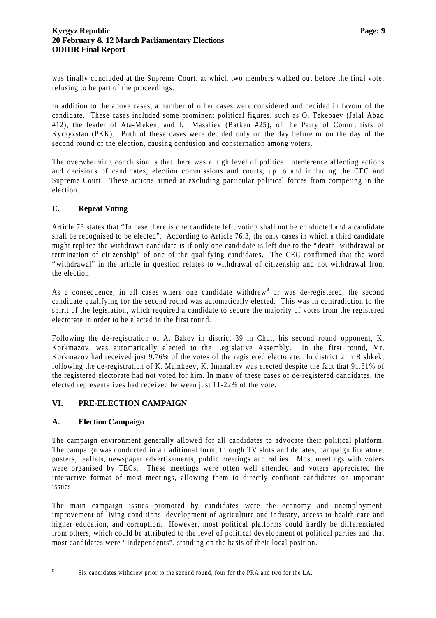was finally concluded at the Supreme Court, at which two members walked out before the final vote, refusing to be part of the proceedings.

In addition to the above cases, a number of other cases were considered and decided in favour of the candidate. These cases included some prominent political figures, such as O. Tekebaev (Jalal Abad #12), the leader of Ata-Meken, and I. Masaliev (Batken #25), of the Party of Communists of Kyrgyzstan (PKK). Both of these cases were decided only on the day before or on the day of the second round of the election, causing confusion and consternation among voters.

The overwhelming conclusion is that there was a high level of political interference affecting actions and decisions of candidates, election commissions and courts, up to and including the CEC and Supreme Court. These actions aimed at excluding particular political forces from competing in the election.

#### **E. Repeat Voting**

Article 76 states that "In case there is one candidate left, voting shall not be conducted and a candidate shall be recognised to be elected". According to Article 76.3, the only cases in which a third candidate might replace the withdrawn candidate is if only one candidate is left due to the "death, withdrawal or termination of citizenship" of one of the qualifying candidates. The CEC confirmed that the word "withdrawal" in the article in question relates to withdrawal of citizenship and not withdrawal from the election.

As a consequence, in all cases where one candidate withdrew<sup>8</sup> or was de-registered, the second candidate qualifying for the second round was automatically elected. This was in contradiction to the spirit of the legislation, which required a candidate to secure the majority of votes from the registered electorate in order to be elected in the first round.

Following the de-registration of A. Bakov in district 39 in Chui, his second round opponent, K. Korkmazov, was automatically elected to the Legislative Assembly. In the first round, Mr. Korkmazov had received just 9.76% of the votes of the registered electorate. In district 2 in Bishkek, following the de-registration of K. Mamkeev, K. Imanaliev was elected despite the fact that 91.81% of the registered electorate had not voted for him. In many of these cases of de-registered candidates, the elected representatives had received between just 11-22% of the vote.

#### **VI. PRE-ELECTION CAMPAIGN**

#### **A. Election Campaign**

The campaign environment generally allowed for all candidates to advocate their political platform. The campaign was conducted in a traditional form, through TV slots and debates, campaign literature, posters, leaflets, newspaper advertisements, public meetings and rallies. Most meetings with voters were organised by TECs. These meetings were often well attended and voters appreciated the interactive format of most meetings, allowing them to directly confront candidates on important issues.

The main campaign issues promoted by candidates were the economy and unemployment, improvement of living conditions, development of agriculture and industry, access to health care and higher education, and corruption. However, most political platforms could hardly be differentiated from others, which could be attributed to the level of political development of political parties and that most candidates were "independents", standing on the basis of their local position.

 8

Six candidates withdrew prior to the second round, four for the PRA and two for the LA.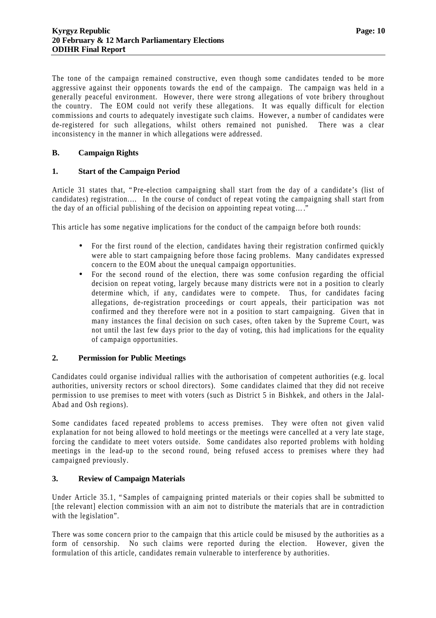The tone of the campaign remained constructive, even though some candidates tended to be more aggressive against their opponents towards the end of the campaign. The campaign was held in a generally peaceful environment. However, there were strong allegations of vote bribery throughout the country. The EOM could not verify these allegations. It was equally difficult for election commissions and courts to adequately investigate such claims. However, a number of candidates were de-registered for such allegations, whilst others remained not punished. There was a clear inconsistency in the manner in which allegations were addressed.

#### **B. Campaign Rights**

#### **1. Start of the Campaign Period**

Article 31 states that, "Pre-election campaigning shall start from the day of a candidate's (list of candidates) registration.… In the course of conduct of repeat voting the campaigning shall start from the day of an official publishing of the decision on appointing repeat voting… ."

This article has some negative implications for the conduct of the campaign before both rounds:

- For the first round of the election, candidates having their registration confirmed quickly were able to start campaigning before those facing problems. Many candidates expressed concern to the EOM about the unequal campaign opportunities.
- For the second round of the election, there was some confusion regarding the official decision on repeat voting, largely because many districts were not in a position to clearly determine which, if any, candidates were to compete. Thus, for candidates facing allegations, de-registration proceedings or court appeals, their participation was not confirmed and they therefore were not in a position to start campaigning. Given that in many instances the final decision on such cases, often taken by the Supreme Court, was not until the last few days prior to the day of voting, this had implications for the equality of campaign opportunities.

#### **2. Permission for Public Meetings**

Candidates could organise individual rallies with the authorisation of competent authorities (e.g. local authorities, university rectors or school directors). Some candidates claimed that they did not receive permission to use premises to meet with voters (such as District 5 in Bishkek, and others in the Jalal-Abad and Osh regions).

Some candidates faced repeated problems to access premises. They were often not given valid explanation for not being allowed to hold meetings or the meetings were cancelled at a very late stage, forcing the candidate to meet voters outside. Some candidates also reported problems with holding meetings in the lead-up to the second round, being refused access to premises where they had campaigned previously.

#### **3. Review of Campaign Materials**

Under Article 35.1, "Samples of campaigning printed materials or their copies shall be submitted to [the relevant] election commission with an aim not to distribute the materials that are in contradiction with the legislation".

There was some concern prior to the campaign that this article could be misused by the authorities as a form of censorship. No such claims were reported during the election. However, given the formulation of this article, candidates remain vulnerable to interference by authorities.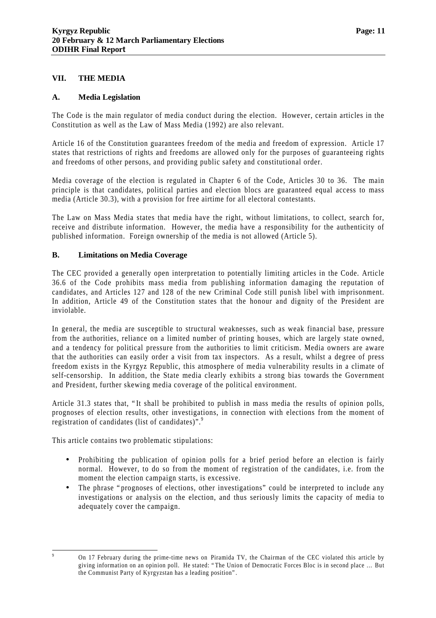#### **VII. THE MEDIA**

#### **A. Media Legislation**

The Code is the main regulator of media conduct during the election. However, certain articles in the Constitution as well as the Law of Mass Media (1992) are also relevant.

Article 16 of the Constitution guarantees freedom of the media and freedom of expression. Article 17 states that restrictions of rights and freedoms are allowed only for the purposes of guaranteeing rights and freedoms of other persons, and providing public safety and constitutional order.

Media coverage of the election is regulated in Chapter 6 of the Code, Articles 30 to 36. The main principle is that candidates, political parties and election blocs are guaranteed equal access to mass media (Article 30.3), with a provision for free airtime for all electoral contestants.

The Law on Mass Media states that media have the right, without limitations, to collect, search for, receive and distribute information. However, the media have a responsibility for the authenticity of published information. Foreign ownership of the media is not allowed (Article 5).

#### **B. Limitations on Media Coverage**

The CEC provided a generally open interpretation to potentially limiting articles in the Code. Article 36.6 of the Code prohibits mass media from publishing information damaging the reputation of candidates, and Articles 127 and 128 of the new Criminal Code still punish libel with imprisonment. In addition, Article 49 of the Constitution states that the honour and dignity of the President are inviolable.

In general, the media are susceptible to structural weaknesses, such as weak financial base, pressure from the authorities, reliance on a limited number of printing houses, which are largely state owned, and a tendency for political pressure from the authorities to limit criticism. Media owners are aware that the authorities can easily order a visit from tax inspectors. As a result, whilst a degree of press freedom exists in the Kyrgyz Republic, this atmosphere of media vulnerability results in a climate of self-censorship. In addition, the State media clearly exhibits a strong bias towards the Government and President, further skewing media coverage of the political environment.

Article 31.3 states that, "It shall be prohibited to publish in mass media the results of opinion polls, prognoses of election results, other investigations, in connection with elections from the moment of registration of candidates (list of candidates)".<sup>9</sup>

This article contains two problematic stipulations:

- Prohibiting the publication of opinion polls for a brief period before an election is fairly normal. However, to do so from the moment of registration of the candidates, i.e. from the moment the election campaign starts, is excessive.
- The phrase "prognoses of elections, other investigations" could be interpreted to include any investigations or analysis on the election, and thus seriously limits the capacity of media to adequately cover the campaign.

<sup>9</sup> On 17 February during the prime-time news on Piramida TV, the Chairman of the CEC violated this article by giving information on an opinion poll. He stated: "The Union of Democratic Forces Bloc is in second place … But the Communist Party of Kyrgyzstan has a leading position".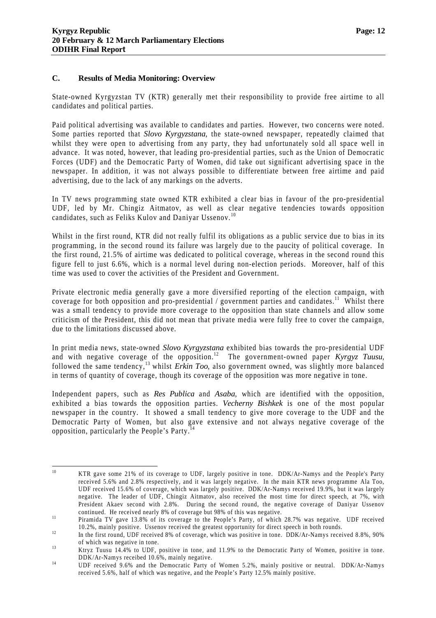#### **C. Results of Media Monitoring: Overview**

State-owned Kyrgyzstan TV (KTR) generally met their responsibility to provide free airtime to all candidates and political parties.

Paid political advertising was available to candidates and parties. However, two concerns were noted. Some parties reported that *Slovo Kyrgyzstana*, the state-owned newspaper, repeatedly claimed that whilst they were open to advertising from any party, they had unfortunately sold all space well in advance. It was noted, however, that leading pro-presidential parties, such as the Union of Democratic Forces (UDF) and the Democratic Party of Women, did take out significant advertising space in the newspaper. In addition, it was not always possible to differentiate between free airtime and paid advertising, due to the lack of any markings on the adverts.

In TV news programming state owned KTR exhibited a clear bias in favour of the pro-presidential UDF, led by Mr. Chingiz Aitmatov, as well as clear negative tendencies towards opposition candidates, such as Feliks Kulov and Daniyar Ussenov.<sup>10</sup>

Whilst in the first round, KTR did not really fulfil its obligations as a public service due to bias in its programming, in the second round its failure was largely due to the paucity of political coverage. In the first round, 21.5% of airtime was dedicated to political coverage, whereas in the second round this figure fell to just 6.6%, which is a normal level during non-election periods. Moreover, half of this time was used to cover the activities of the President and Government.

Private electronic media generally gave a more diversified reporting of the election campaign, with coverage for both opposition and pro-presidential / government parties and candidates.<sup>11</sup> Whilst there was a small tendency to provide more coverage to the opposition than state channels and allow some criticism of the President, this did not mean that private media were fully free to cover the campaign, due to the limitations discussed above.

In print media news, state-owned *Slovo Kyrgyzstana* exhibited bias towards the pro-presidential UDF and with negative coverage of the opposition.<sup>12</sup> The government-owned paper *Kyrgyz Tuusu*, followed the same tendency,<sup>13</sup> whilst *Erkin Too*, also government owned, was slightly more balanced in terms of quantity of coverage, though its coverage of the opposition was more negative in tone.

Independent papers, such as *Res Publica* and *Asaba*, which are identified with the opposition, exhibited a bias towards the opposition parties. *Vecherny Bishkek* is one of the most popular newspaper in the country. It showed a small tendency to give more coverage to the UDF and the Democratic Party of Women, but also gave extensive and not always negative coverage of the opposition, particularly the People's Party.<sup>14</sup>

 $10\,$ <sup>10</sup> KTR gave some 21% of its coverage to UDF, largely positive in tone. DDK/Ar-Namys and the People's Party received 5.6% and 2.8% respectively, and it was largely negative. In the main KTR news programme Ala Too, UDF received 15.6% of coverage, which was largely positive. DDK/Ar-Namys received 19.9%, but it was largely negative. The leader of UDF, Chingiz Aitmatov, also received the most time for direct speech, at 7%, with President Akaev second with 2.8%. During the second round, the negative coverage of Daniyar Ussenov continued. He received nearly 8% of coverage but 98% of this was negative.

<sup>&</sup>lt;sup>11</sup> Piramida TV gave 13.8% of its coverage to the People's Party, of which 28.7% was negative. UDF received 10.2%, mainly positive. Ussenov received the greatest opportunity for direct speech in both rounds.

<sup>&</sup>lt;sup>12</sup> In the first round, UDF received 8% of coverage, which was positive in tone. DDK/Ar-Namys received 8.8%, 90% of which was negative in tone.

<sup>&</sup>lt;sup>13</sup> Ktryz Tuusu 14.4% to UDF, positive in tone, and 11.9% to the Democratic Party of Women, positive in tone. DDK/Ar-Namys receibed 10.6%, mainly negative.

<sup>&</sup>lt;sup>14</sup> UDF received 9.6% and the Democratic Party of Women 5.2%, mainly positive or neutral. DDK/Ar-Namys received 5.6%, half of which was negative, and the People's Party 12.5% mainly positive.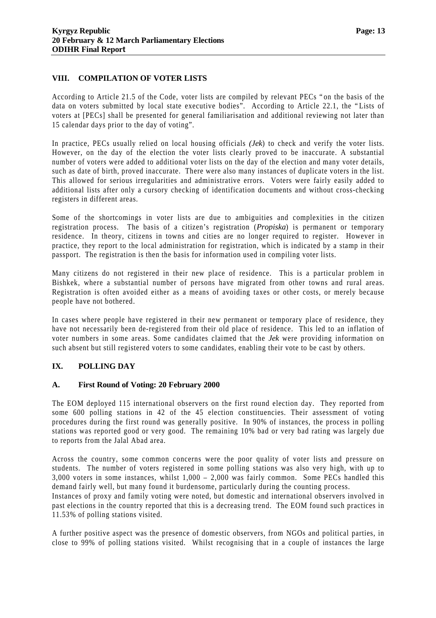#### **VIII. COMPILATION OF VOTER LISTS**

According to Article 21.5 of the Code, voter lists are compiled by relevant PECs "on the basis of the data on voters submitted by local state executive bodies". According to Article 22.1, the "Lists of voters at [PECs] shall be presented for general familiarisation and additional reviewing not later than 15 calendar days prior to the day of voting".

In practice, PECs usually relied on local housing officials *(Jek*) to check and verify the voter lists. However, on the day of the election the voter lists clearly proved to be inaccurate. A substantial number of voters were added to additional voter lists on the day of the election and many voter details, such as date of birth, proved inaccurate. There were also many instances of duplicate voters in the list. This allowed for serious irregularities and administrative errors. Voters were fairly easily added to additional lists after only a cursory checking of identification documents and without cross-checking registers in different areas.

Some of the shortcomings in voter lists are due to ambiguities and complexities in the citizen registration process. The basis of a citizen's registration (*Propiska*) is permanent or temporary residence. In theory, citizens in towns and cities are no longer required to register. However in practice, they report to the local administration for registration, which is indicated by a stamp in their passport. The registration is then the basis for information used in compiling voter lists.

Many citizens do not registered in their new place of residence. This is a particular problem in Bishkek, where a substantial number of persons have migrated from other towns and rural areas. Registration is often avoided either as a means of avoiding taxes or other costs, or merely because people have not bothered.

In cases where people have registered in their new permanent or temporary place of residence, they have not necessarily been de-registered from their old place of residence. This led to an inflation of voter numbers in some areas. Some candidates claimed that the *Jek* were providing information on such absent but still registered voters to some candidates, enabling their vote to be cast by others.

#### **IX. POLLING DAY**

#### **A. First Round of Voting: 20 February 2000**

The EOM deployed 115 international observers on the first round election day. They reported from some 600 polling stations in 42 of the 45 election constituencies. Their assessment of voting procedures during the first round was generally positive. In 90% of instances, the process in polling stations was reported good or very good. The remaining 10% bad or very bad rating was largely due to reports from the Jalal Abad area.

Across the country, some common concerns were the poor quality of voter lists and pressure on students. The number of voters registered in some polling stations was also very high, with up to 3,000 voters in some instances, whilst 1,000 – 2,000 was fairly common. Some PECs handled this demand fairly well, but many found it burdensome, particularly during the counting process.

Instances of proxy and family voting were noted, but domestic and international observers involved in past elections in the country reported that this is a decreasing trend. The EOM found such practices in 11.53% of polling stations visited.

A further positive aspect was the presence of domestic observers, from NGOs and political parties, in close to 99% of polling stations visited. Whilst recognising that in a couple of instances the large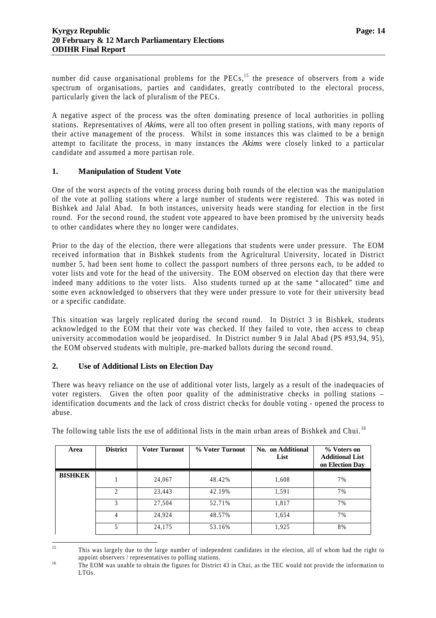number did cause organisational problems for the PECs,<sup>15</sup> the presence of observers from a wide spectrum of organisations, parties and candidates, greatly contributed to the electoral process, particularly given the lack of pluralism of the PECs.

A negative aspect of the process was the often dominating presence of local authorities in polling stations. Representatives of *Akims*, were all too often present in polling stations, with many reports of their active management of the process. Whilst in some instances this was claimed to be a benign attempt to facilitate the process, in many instances the *Akims* were closely linked to a particular candidate and assumed a more partisan role.

#### **1. Manipulation of Student Vote**

One of the worst aspects of the voting process during both rounds of the election was the manipulation of the vote at polling stations where a large number of students were registered. This was noted in Bishkek and Jalal Abad. In both instances, university heads were standing for election in the first round. For the second round, the student vote appeared to have been promised by the university heads to other candidates where they no longer were candidates.

Prior to the day of the election, there were allegations that students were under pressure. The EOM received information that in Bishkek students from the Agricultural University, located in District number 5, had been sent home to collect the passport numbers of three persons each, to be added to voter lists and vote for the head of the university. The EOM observed on election day that there were indeed many additions to the voter lists. Also students turned up at the same "allocated" time and some even acknowledged to observers that they were under pressure to vote for their university head or a specific candidate.

This situation was largely replicated during the second round. In District 3 in Bishkek, students acknowledged to the EOM that their vote was checked. If they failed to vote, then access to cheap university accommodation would be jeopardised. In District number 9 in Jalal Abad (PS #93,94, 95), the EOM observed students with multiple, pre-marked ballots during the second round.

#### **2. Use of Additional Lists on Election Day**

There was heavy reliance on the use of additional voter lists, largely as a result of the inadequacies of voter registers. Given the often poor quality of the administrative checks in polling stations – identification documents and the lack of cross district checks for double voting - opened the process to abuse.

| Area           | <b>District</b>               | <b>Voter Turnout</b> | % Voter Turnout | No. on Additional<br>List | % Voters on<br><b>Additional List</b><br>on Election Day |
|----------------|-------------------------------|----------------------|-----------------|---------------------------|----------------------------------------------------------|
| <b>BISHKEK</b> |                               | 24,067               | 48.42%          | 1,608                     | 7%                                                       |
|                | $\mathfrak{D}_{\mathfrak{p}}$ | 23,443               | 42.19%          | 1,591                     | 7%                                                       |
|                | 3                             | 27,504               | 52.71%          | 1,817                     | 7%                                                       |
|                | $\overline{4}$                | 24,924               | 48.57%          | 1,654                     | 7%                                                       |
|                | 5                             | 24,175               | 53.16%          | 1,925                     | 8%                                                       |

The following table lists the use of additional lists in the main urban areas of Bishkek and Chui.<sup>16</sup>

 $15$ <sup>15</sup> This was largely due to the large number of independent candidates in the election, all of whom had the right to appoint observers / representatives to polling stations.

<sup>&</sup>lt;sup>16</sup> The EOM was unable to obtain the figures for District 43 in Chui, as the TEC would not provide the information to LTOs.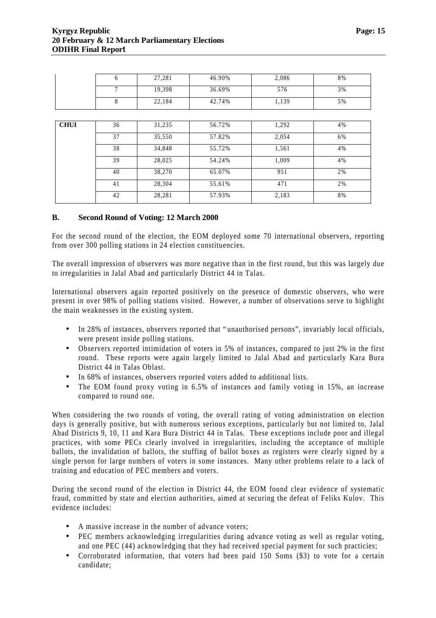|             | 6  | 27,281 | 46.90% | 2,086 | 8% |
|-------------|----|--------|--------|-------|----|
|             | 7  | 19,398 | 36.69% | 576   | 3% |
|             | 8  | 22,184 | 42.74% | 1,139 | 5% |
|             |    |        |        |       |    |
| <b>CHUI</b> | 36 | 31,235 | 56.72% | 1,292 | 4% |
|             | 37 | 35,550 | 57.82% | 2,054 | 6% |
|             | 38 | 34,848 | 55.72% | 1,561 | 4% |
|             | 39 | 28,025 | 54.24% | 1,009 | 4% |
|             | 40 | 38,270 | 65.07% | 951   | 2% |
|             | 41 | 28,304 | 55.61% | 471   | 2% |
|             | 42 | 28,281 | 57.93% | 2,183 | 8% |
|             |    |        |        |       |    |

#### **B. Second Round of Voting: 12 March 2000**

For the second round of the election, the EOM deployed some 70 international observers, reporting from over 300 polling stations in 24 election constituencies.

The overall impression of observers was more negative than in the first round, but this was largely due to irregularities in Jalal Abad and particularly District 44 in Talas.

International observers again reported positively on the presence of domestic observers, who were present in over 98% of polling stations visited. However, a number of observations serve to highlight the main weaknesses in the existing system.

- In 28% of instances, observers reported that "unauthorised persons", invariably local officials, were present inside polling stations.
- Observers reported intimidation of voters in 5% of instances, compared to just 2% in the first round. These reports were again largely limited to Jalal Abad and particularly Kara Bura District 44 in Talas Oblast.
- In 68% of instances, observers reported voters added to additional lists.
- The EOM found proxy voting in 6.5% of instances and family voting in 15%, an increase compared to round one.

When considering the two rounds of voting, the overall rating of voting administration on election days is generally positive, but with numerous serious exceptions, particularly but not limited to, Jalal Abad Districts 9, 10, 11 and Kara Bura District 44 in Talas. These exceptions include poor and illegal practices, with some PECs clearly involved in irregularities, including the acceptance of multiple ballots, the invalidation of ballots, the stuffing of ballot boxes as registers were clearly signed by a single person for large numbers of voters in some instances. Many other problems relate to a lack of training and education of PEC members and voters.

During the second round of the election in District 44, the EOM found clear evidence of systematic fraud, committed by state and election authorities, aimed at securing the defeat of Feliks Kulov. This evidence includes:

- A massive increase in the number of advance voters;
- PEC members acknowledging irregularities during advance voting as well as regular voting, and one PEC (44) acknowledging that they had received special payment for such practicies;
- Corroborated information, that voters had been paid 150 Soms (\$3) to vote for a certain candidate;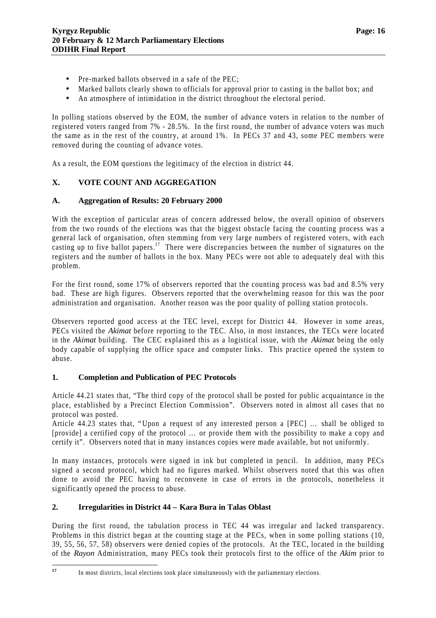- Pre-marked ballots observed in a safe of the PEC:
- Marked ballots clearly shown to officials for approval prior to casting in the ballot box; and
- An atmosphere of intimidation in the district throughout the electoral period.

In polling stations observed by the EOM, the number of advance voters in relation to the number of registered voters ranged from 7% - 28.5%. In the first round, the number of advance voters was much the same as in the rest of the country, at around 1%. In PECs 37 and 43, some PEC members were removed during the counting of advance votes.

As a result, the EOM questions the legitimacy of the election in district 44.

#### **X. VOTE COUNT AND AGGREGATION**

#### **A. Aggregation of Results: 20 February 2000**

With the exception of particular areas of concern addressed below, the overall opinion of observers from the two rounds of the elections was that the biggest obstacle facing the counting process was a general lack of organisation, often stemming from very large numbers of registered voters, with each casting up to five ballot papers.<sup>17</sup> There were discrepancies between the number of signatures on the registers and the number of ballots in the box. Many PECs were not able to adequately deal with this problem.

For the first round, some 17% of observers reported that the counting process was bad and 8.5% very bad. These are high figures. Observers reported that the overwhelming reason for this was the poor administration and organisation. Another reason was the poor quality of polling station protocols.

Observers reported good access at the TEC level, except for District 44. However in some areas, PECs visited the *Akimat* before reporting to the TEC. Also, in most instances, the TECs were located in the *Akimat* building. The CEC explained this as a logistical issue, with the *Akimat* being the only body capable of supplying the office space and computer links. This practice opened the system to abuse.

#### **1. Completion and Publication of PEC Protocols**

Article 44.21 states that, "The third copy of the protocol shall be posted for public acquaintance in the place, established by a Precinct Election Commission". Observers noted in almost all cases that no protocol was posted.

Article 44.23 states that, "Upon a request of any interested person a [PEC] … shall be obliged to [provide] a certified copy of the protocol … or provide them with the possibility to make a copy and certify it". Observers noted that in many instances copies were made available, but not uniformly.

In many instances, protocols were signed in ink but completed in pencil. In addition, many PECs signed a second protocol, which had no figures marked. Whilst observers noted that this was often done to avoid the PEC having to reconvene in case of errors in the protocols, nonetheless it significantly opened the process to abuse.

#### **2. Irregularities in District 44 – Kara Bura in Talas Oblast**

During the first round, the tabulation process in TEC 44 was irregular and lacked transparency. Problems in this district began at the counting stage at the PECs, when in some polling stations (10, 39, 55, 56, 57, 58) observers were denied copies of the protocols. At the TEC, located in the building of the *Rayon* Administration, many PECs took their protocols first to the office of the *Akim* prior to

 $17$ In most districts, local elections took place simultaneously with the parliamentary elections.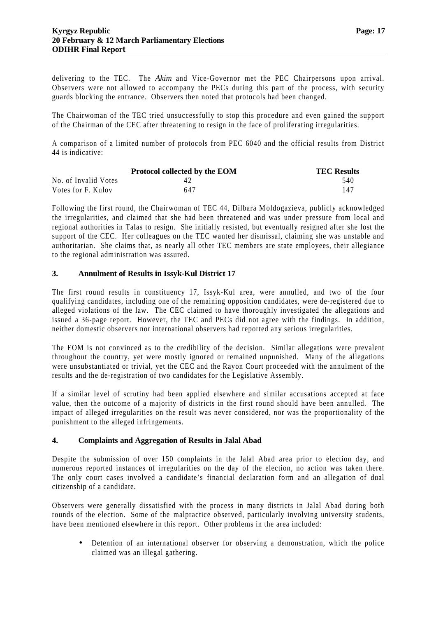delivering to the TEC. The *Akim* and Vice-Governor met the PEC Chairpersons upon arrival. Observers were not allowed to accompany the PECs during this part of the process, with security guards blocking the entrance. Observers then noted that protocols had been changed.

The Chairwoman of the TEC tried unsuccessfully to stop this procedure and even gained the support of the Chairman of the CEC after threatening to resign in the face of proliferating irregularities.

A comparison of a limited number of protocols from PEC 6040 and the official results from District 44 is indicative:

|                      | Protocol collected by the EOM | <b>TEC Results</b> |
|----------------------|-------------------------------|--------------------|
| No. of Invalid Votes | 42                            | 540                |
| Votes for F. Kulov   | 647                           | 147                |

Following the first round, the Chairwoman of TEC 44, Dilbara Moldogazieva, publicly acknowledged the irregularities, and claimed that she had been threatened and was under pressure from local and regional authorities in Talas to resign. She initially resisted, but eventually resigned after she lost the support of the CEC. Her colleagues on the TEC wanted her dismissal, claiming she was unstable and authoritarian. She claims that, as nearly all other TEC members are state employees, their allegiance to the regional administration was assured.

#### **3. Annulment of Results in Issyk-Kul District 17**

The first round results in constituency 17, Issyk-Kul area, were annulled, and two of the four qualifying candidates, including one of the remaining opposition candidates, were de-registered due to alleged violations of the law. The CEC claimed to have thoroughly investigated the allegations and issued a 36-page report. However, the TEC and PECs did not agree with the findings. In addition, neither domestic observers nor international observers had reported any serious irregularities.

The EOM is not convinced as to the credibility of the decision. Similar allegations were prevalent throughout the country, yet were mostly ignored or remained unpunished. Many of the allegations were unsubstantiated or trivial, yet the CEC and the Rayon Court proceeded with the annulment of the results and the de-registration of two candidates for the Legislative Assembly.

If a similar level of scrutiny had been applied elsewhere and similar accusations accepted at face value, then the outcome of a majority of districts in the first round should have been annulled. The impact of alleged irregularities on the result was never considered, nor was the proportionality of the punishment to the alleged infringements.

#### **4. Complaints and Aggregation of Results in Jalal Abad**

Despite the submission of over 150 complaints in the Jalal Abad area prior to election day, and numerous reported instances of irregularities on the day of the election, no action was taken there. The only court cases involved a candidate's financial declaration form and an allegation of dual citizenship of a candidate.

Observers were generally dissatisfied with the process in many districts in Jalal Abad during both rounds of the election. Some of the malpractice observed, particularly involving university students, have been mentioned elsewhere in this report. Other problems in the area included:

• Detention of an international observer for observing a demonstration, which the police claimed was an illegal gathering.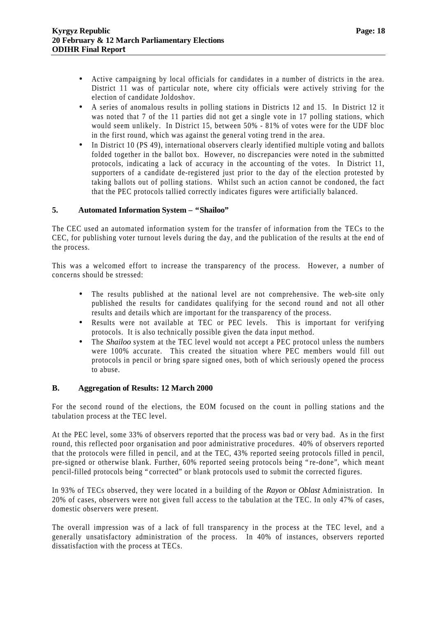- Active campaigning by local officials for candidates in a number of districts in the area. District 11 was of particular note, where city officials were actively striving for the election of candidate Joldoshov.
- A series of anomalous results in polling stations in Districts 12 and 15. In District 12 it was noted that 7 of the 11 parties did not get a single vote in 17 polling stations, which would seem unlikely. In District 15, between 50% - 81% of votes were for the UDF bloc in the first round, which was against the general voting trend in the area.
- In District 10 (PS 49), international observers clearly identified multiple voting and ballots folded together in the ballot box. However, no discrepancies were noted in the submitted protocols, indicating a lack of accuracy in the accounting of the votes. In District 11, supporters of a candidate de-registered just prior to the day of the election protested by taking ballots out of polling stations. Whilst such an action cannot be condoned, the fact that the PEC protocols tallied correctly indicates figures were artificially balanced.

#### **5. Automated Information System – "Shailoo"**

The CEC used an automated information system for the transfer of information from the TECs to the CEC, for publishing voter turnout levels during the day, and the publication of the results at the end of the process.

This was a welcomed effort to increase the transparency of the process. However, a number of concerns should be stressed:

- The results published at the national level are not comprehensive. The web-site only published the results for candidates qualifying for the second round and not all other results and details which are important for the transparency of the process.
- Results were not available at TEC or PEC levels. This is important for verifying protocols. It is also technically possible given the data input method.
- The *Shailoo* system at the TEC level would not accept a PEC protocol unless the numbers were 100% accurate. This created the situation where PEC members would fill out protocols in pencil or bring spare signed ones, both of which seriously opened the process to abuse.

#### **B. Aggregation of Results: 12 March 2000**

For the second round of the elections, the EOM focused on the count in polling stations and the tabulation process at the TEC level.

At the PEC level, some 33% of observers reported that the process was bad or very bad. As in the first round, this reflected poor organisation and poor administrative procedures. 40% of observers reported that the protocols were filled in pencil, and at the TEC, 43% reported seeing protocols filled in pencil, pre-signed or otherwise blank. Further, 60% reported seeing protocols being "re-done", which meant pencil-filled protocols being "corrected" or blank protocols used to submit the corrected figures.

In 93% of TECs observed, they were located in a building of the *Rayon* or *Oblast* Administration. In 20% of cases, observers were not given full access to the tabulation at the TEC. In only 47% of cases, domestic observers were present.

The overall impression was of a lack of full transparency in the process at the TEC level, and a generally unsatisfactory administration of the process. In 40% of instances, observers reported dissatisfaction with the process at TECs.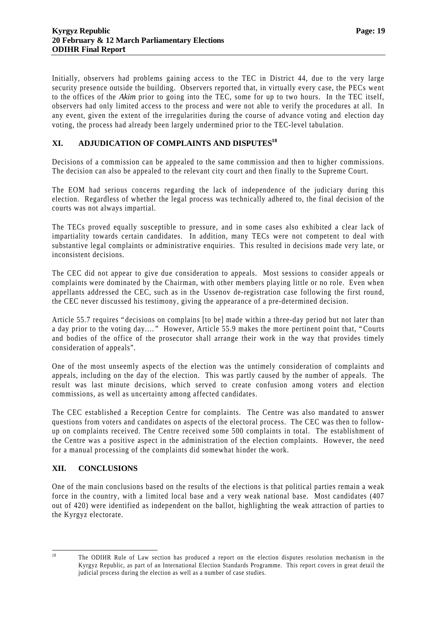Initially, observers had problems gaining access to the TEC in District 44, due to the very large security presence outside the building. Observers reported that, in virtually every case, the PECs went to the offices of the *Akim* prior to going into the TEC, some for up to two hours. In the TEC itself, observers had only limited access to the process and were not able to verify the procedures at all. In any event, given the extent of the irregularities during the course of advance voting and election day voting, the process had already been largely undermined prior to the TEC-level tabulation.

#### **XI. ADJUDICATION OF COMPLAINTS AND DISPUTES<sup>18</sup>**

Decisions of a commission can be appealed to the same commission and then to higher commissions. The decision can also be appealed to the relevant city court and then finally to the Supreme Court.

The EOM had serious concerns regarding the lack of independence of the judiciary during this election. Regardless of whether the legal process was technically adhered to, the final decision of the courts was not always impartial.

The TECs proved equally susceptible to pressure, and in some cases also exhibited a clear lack of impartiality towards certain candidates. In addition, many TECs were not competent to deal with substantive legal complaints or administrative enquiries. This resulted in decisions made very late, or inconsistent decisions.

The CEC did not appear to give due consideration to appeals. Most sessions to consider appeals or complaints were dominated by the Chairman, with other members playing little or no role. Even when appellants addressed the CEC, such as in the Ussenov de-registration case following the first round, the CEC never discussed his testimony, giving the appearance of a pre-determined decision.

Article 55.7 requires "decisions on complains [to be] made within a three-day period but not later than a day prior to the voting day.… " However, Article 55.9 makes the more pertinent point that, "Courts and bodies of the office of the prosecutor shall arrange their work in the way that provides timely consideration of appeals".

One of the most unseemly aspects of the election was the untimely consideration of complaints and appeals, including on the day of the election. This was partly caused by the number of appeals. The result was last minute decisions, which served to create confusion among voters and election commissions, as well as uncertainty among affected candidates.

The CEC established a Reception Centre for complaints. The Centre was also mandated to answer questions from voters and candidates on aspects of the electoral process. The CEC was then to followup on complaints received. The Centre received some 500 complaints in total. The establishment of the Centre was a positive aspect in the administration of the election complaints. However, the need for a manual processing of the complaints did somewhat hinder the work.

#### **XII. CONCLUSIONS**

One of the main conclusions based on the results of the elections is that political parties remain a weak force in the country, with a limited local base and a very weak national base. Most candidates (407 out of 420) were identified as independent on the ballot, highlighting the weak attraction of parties to the Kyrgyz electorate.

 $18\,$ 

The ODIHR Rule of Law section has produced a report on the election disputes resolution mechanism in the Kyrgyz Republic, as part of an International Election Standards Programme. This report covers in great detail the judicial process during the election as well as a number of case studies.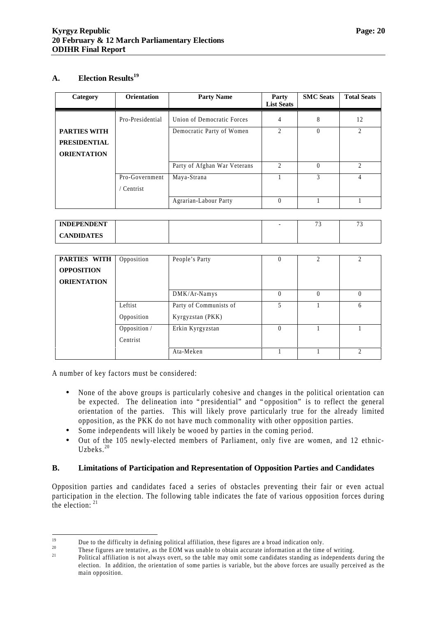#### **A. Election Results<sup>19</sup>**

| Category            | <b>Orientation</b> | <b>Party Name</b>            | Party<br><b>List Seats</b>  | <b>SMC</b> Seats | <b>Total Seats</b>          |
|---------------------|--------------------|------------------------------|-----------------------------|------------------|-----------------------------|
|                     | Pro-Presidential   | Union of Democratic Forces   | 4                           | 8                | 12                          |
| <b>PARTIES WITH</b> |                    | Democratic Party of Women    | $\mathfrak{D}$              | $\Omega$         | 2                           |
| <b>PRESIDENTIAL</b> |                    |                              |                             |                  |                             |
| <b>ORIENTATION</b>  |                    |                              |                             |                  |                             |
|                     |                    | Party of Afghan War Veterans | $\mathcal{D}_{\mathcal{A}}$ | $\Omega$         | $\mathcal{D}_{\mathcal{L}}$ |
|                     | Pro-Government     | Maya-Strana                  |                             | 3                | $\overline{4}$              |
|                     | ' Centrist         |                              |                             |                  |                             |
|                     |                    | Agrarian-Labour Party        | $\Omega$                    |                  |                             |

| <b>INDEPENDENT</b> |  | - | $\overline{\phantom{a}}$ | $\sim$<br>- |
|--------------------|--|---|--------------------------|-------------|
| <b>CANDIDATES</b>  |  |   |                          |             |

| PARTIES WITH<br>Opposition<br><b>OPPOSITION</b> |              | People's Party         |   | $\mathcal{D}_{\mathcal{L}}$ | $\mathcal{D}_{\mathcal{L}}$ |
|-------------------------------------------------|--------------|------------------------|---|-----------------------------|-----------------------------|
| <b>ORIENTATION</b>                              |              |                        |   |                             |                             |
|                                                 |              | DMK/Ar-Namys           |   | $\theta$                    | $\Omega$                    |
| Leftist                                         |              | Party of Communists of | 5 |                             | 6                           |
| Opposition                                      |              | Kyrgyzstan (PKK)       |   |                             |                             |
|                                                 | Opposition / | Erkin Kyrgyzstan       |   |                             |                             |
| Centrist                                        |              |                        |   |                             |                             |
|                                                 |              | Ata-Meken              |   |                             | $\mathcal{D}_{\mathcal{A}}$ |

A number of key factors must be considered:

- None of the above groups is particularly cohesive and changes in the political orientation can be expected. The delineation into "presidential" and "opposition" is to reflect the general orientation of the parties. This will likely prove particularly true for the already limited opposition, as the PKK do not have much commonality with other opposition parties.
- Some independents will likely be wooed by parties in the coming period.
- Out of the 105 newly-elected members of Parliament, only five are women, and 12 ethnic-Uzbeks. $20$

#### **B. Limitations of Participation and Representation of Opposition Parties and Candidates**

Opposition parties and candidates faced a series of obstacles preventing their fair or even actual participation in the election. The following table indicates the fate of various opposition forces during the election: <sup>21</sup>

<sup>19</sup> <sup>19</sup> Due to the difficulty in defining political affiliation, these figures are a broad indication only.<br><sup>20</sup> These figures are tentative, as the FOM was unable to obtain aggurate information at the time

<sup>&</sup>lt;sup>20</sup> These figures are tentative, as the EOM was unable to obtain accurate information at the time of writing.<br><sup>21</sup> Political of iliation is not clustus system to the table may omit some englishing a supportant proportant <sup>21</sup> Political affiliation is not always overt, so the table may omit some candidates standing as independents during the

election. In addition, the orientation of some parties is variable, but the above forces are usually perceived as the main opposition.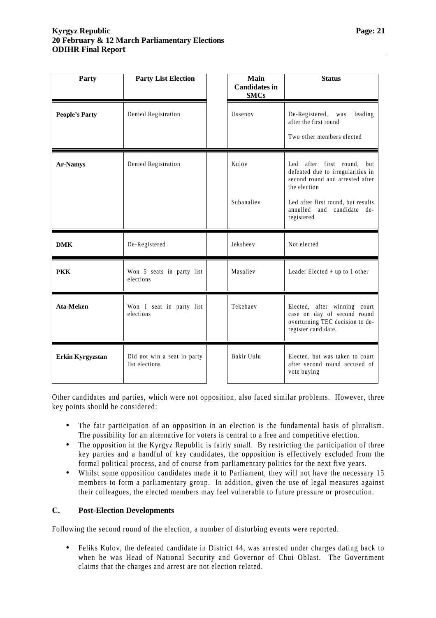| Party                                                             | <b>Party List Election</b> | Main<br><b>Candidates in</b><br><b>SMCs</b> | <b>Status</b>                                                                                                                                                                                              |
|-------------------------------------------------------------------|----------------------------|---------------------------------------------|------------------------------------------------------------------------------------------------------------------------------------------------------------------------------------------------------------|
| <b>People's Party</b>                                             | Denied Registration        | Ussenov                                     | De-Registered,<br>leading<br>was<br>after the first round<br>Two other members elected                                                                                                                     |
| <b>Ar-Namys</b>                                                   | Denied Registration        | Kulov<br>Subanaliev                         | after first round,<br>Led<br>but<br>defeated due to irregularities in<br>second round and arrested after<br>the election<br>Led after first round, but results<br>annulled and candidate de-<br>registered |
| <b>DMK</b>                                                        | De-Registered              | Jeksheev                                    | Not elected                                                                                                                                                                                                |
| <b>PKK</b><br>Won 5 seats in party list<br>elections              |                            | Masaliev                                    | Leader Elected $+$ up to 1 other                                                                                                                                                                           |
| Ata-Meken<br>Won 1 seat in party list<br>elections                |                            | Tekebaev                                    | Elected, after winning court<br>case on day of second round<br>overturning TEC decision to de-<br>register candidate.                                                                                      |
| Erkin Kyrgyzstan<br>Did not win a seat in party<br>list elections |                            | Bakir Uulu                                  | Elected, but was taken to court                                                                                                                                                                            |

Other candidates and parties, which were not opposition, also faced similar problems. However, three key points should be considered:

- The fair participation of an opposition in an election is the fundamental basis of pluralism. The possibility for an alternative for voters is central to a free and competitive election.
- The opposition in the Kyrgyz Republic is fairly small. By restricting the participation of three key parties and a handful of key candidates, the opposition is effectively excluded from the formal political process, and of course from parliamentary politics for the next five years.
- Whilst some opposition candidates made it to Parliament, they will not have the necessary 15 members to form a parliamentary group. In addition, given the use of legal measures against their colleagues, the elected members may feel vulnerable to future pressure or prosecution.

#### **C. Post-Election Developments**

Following the second round of the election, a number of disturbing events were reported.

• Feliks Kulov, the defeated candidate in District 44, was arrested under charges dating back to when he was Head of National Security and Governor of Chui Oblast. The Government claims that the charges and arrest are not election related.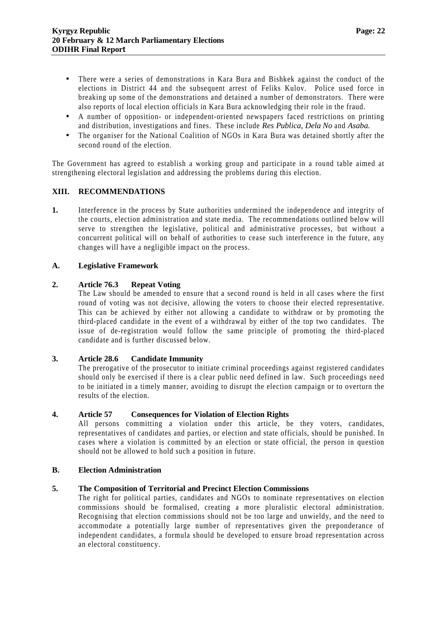- There were a series of demonstrations in Kara Bura and Bishkek against the conduct of the elections in District 44 and the subsequent arrest of Feliks Kulov. Police used force in breaking up some of the demonstrations and detained a number of demonstrators. There were also reports of local election officials in Kara Bura acknowledging their role in the fraud.
- A number of opposition- or independent-oriented newspapers faced restrictions on printing and distribution, investigations and fines. These include *Res Publica, Dela No* and *Asaba.*
- The organiser for the National Coalition of NGOs in Kara Bura was detained shortly after the second round of the election.

The Government has agreed to establish a working group and participate in a round table aimed at strengthening electoral legislation and addressing the problems during this election.

#### **XIII. RECOMMENDATIONS**

**1.** Interference in the process by State authorities undermined the independence and integrity of the courts, election administration and state media. The recommendations outlined below will serve to strengthen the legislative, political and administrative processes, but without a concurrent political will on behalf of authorities to cease such interference in the future, any changes will have a negligible impact on the process.

#### **A. Legislative Framework**

#### **2. Article 76.3 Repeat Voting**

The Law should be amended to ensure that a second round is held in all cases where the first round of voting was not decisive, allowing the voters to choose their elected representative. This can be achieved by either not allowing a candidate to withdraw or by promoting the third-placed candidate in the event of a withdrawal by either of the top two candidates. The issue of de-registration would follow the same principle of promoting the third-placed candidate and is further discussed below.

#### **3. Article 28.6 Candidate Immunity**

The prerogative of the prosecutor to initiate criminal proceedings against registered candidates should only be exercised if there is a clear public need defined in law. Such proceedings need to be initiated in a timely manner, avoiding to disrupt the election campaign or to overturn the results of the election.

#### **4. Article 57 Consequences for Violation of Election Rights**

All persons committing a violation under this article, be they voters, candidates, representatives of candidates and parties, or election and state officials, should be punished. In cases where a violation is committed by an election or state official, the person in question should not be allowed to hold such a position in future.

#### **B. Election Administration**

#### **5. The Composition of Territorial and Precinct Election Commissions**

The right for political parties, candidates and NGOs to nominate representatives on election commissions should be formalised, creating a more pluralistic electoral administration. Recognising that election commissions should not be too large and unwieldy, and the need to accommodate a potentially large number of representatives given the preponderance of independent candidates, a formula should be developed to ensure broad representation across an electoral constituency.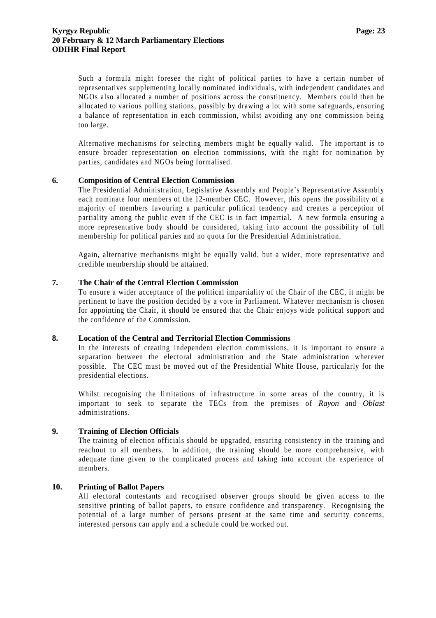Such a formula might foresee the right of political parties to have a certain number of representatives supplementing locally nominated individuals, with independent candidates and NGOs also allocated a number of positions across the constituency. Members could then be allocated to various polling stations, possibly by drawing a lot with some safeguards, ensuring a balance of representation in each commission, whilst avoiding any one commission being too large.

Alternative mechanisms for selecting members might be equally valid. The important is to ensure broader representation on election commissions, with the right for nomination by parties, candidates and NGOs being formalised.

#### **6. Composition of Central Election Commission**

The Presidential Administration, Legislative Assembly and People's Representative Assembly each nominate four members of the 12-member CEC. However, this opens the possibility of a majority of members favouring a particular political tendency and creates a perception of partiality among the public even if the CEC is in fact impartial. A new formula ensuring a more representative body should be considered, taking into account the possibility of full membership for political parties and no quota for the Presidential Administration.

Again, alternative mechanisms might be equally valid, but a wider, more representative and credible membership should be attained.

#### **7. The Chair of the Central Election Commission**

To ensure a wider acceptance of the political impartiality of the Chair of the CEC, it might be pertinent to have the position decided by a vote in Parliament. Whatever mechanism is chosen for appointing the Chair, it should be ensured that the Chair enjoys wide political support and the confidence of the Commission.

#### **8. Location of the Central and Territorial Election Commissions**

In the interests of creating independent election commissions, it is important to ensure a separation between the electoral administration and the State administration wherever possible. The CEC must be moved out of the Presidential White House, particularly for the presidential elections.

Whilst recognising the limitations of infrastructure in some areas of the country, it is important to seek to separate the TECs from the premises of *Rayon* and *Oblast* administrations.

#### **9. Training of Election Officials**

The training of election officials should be upgraded, ensuring consistency in the training and reachout to all members. In addition, the training should be more comprehensive, with adequate time given to the complicated process and taking into account the experience of members.

#### **10. Printing of Ballot Papers**

All electoral contestants and recognised observer groups should be given access to the sensitive printing of ballot papers, to ensure confidence and transparency. Recognising the potential of a large number of persons present at the same time and security concerns, interested persons can apply and a schedule could be worked out.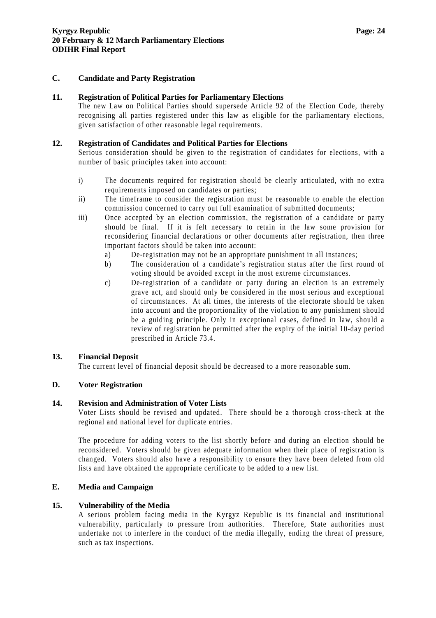#### **C. Candidate and Party Registration**

#### **11. Registration of Political Parties for Parliamentary Elections**

The new Law on Political Parties should supersede Article 92 of the Election Code, thereby recognising all parties registered under this law as eligible for the parliamentary elections, given satisfaction of other reasonable legal requirements.

#### **12. Registration of Candidates and Political Parties for Elections**

Serious consideration should be given to the registration of candidates for elections, with a number of basic principles taken into account:

- i) The documents required for registration should be clearly articulated, with no extra requirements imposed on candidates or parties;
- ii) The timeframe to consider the registration must be reasonable to enable the election commission concerned to carry out full examination of submitted documents;
- iii) Once accepted by an election commission, the registration of a candidate or party should be final. If it is felt necessary to retain in the law some provision for reconsidering financial declarations or other documents after registration, then three important factors should be taken into account:
	- a) De-registration may not be an appropriate punishment in all instances;
	- b) The consideration of a candidate's registration status after the first round of voting should be avoided except in the most extreme circumstances.
	- c) De-registration of a candidate or party during an election is an extremely grave act, and should only be considered in the most serious and exceptional of circumstances. At all times, the interests of the electorate should be taken into account and the proportionality of the violation to any punishment should be a guiding principle. Only in exceptional cases, defined in law, should a review of registration be permitted after the expiry of the initial 10-day period prescribed in Article 73.4.

#### **13. Financial Deposit**

The current level of financial deposit should be decreased to a more reasonable sum.

#### **D. Voter Registration**

#### **14. Revision and Administration of Voter Lists**

Voter Lists should be revised and updated. There should be a thorough cross-check at the regional and national level for duplicate entries.

The procedure for adding voters to the list shortly before and during an election should be reconsidered. Voters should be given adequate information when their place of registration is changed. Voters should also have a responsibility to ensure they have been deleted from old lists and have obtained the appropriate certificate to be added to a new list.

#### **E. Media and Campaign**

#### **15. Vulnerability of the Media**

A serious problem facing media in the Kyrgyz Republic is its financial and institutional vulnerability, particularly to pressure from authorities. Therefore, State authorities must undertake not to interfere in the conduct of the media illegally, ending the threat of pressure, such as tax inspections.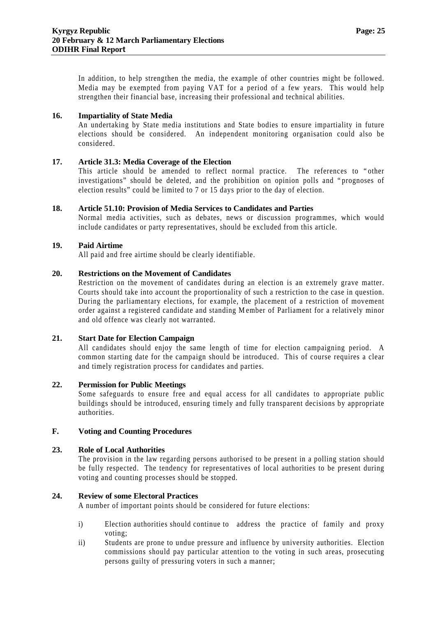In addition, to help strengthen the media, the example of other countries might be followed. Media may be exempted from paying VAT for a period of a few years. This would help strengthen their financial base, increasing their professional and technical abilities.

#### **16. Impartiality of State Media**

An undertaking by State media institutions and State bodies to ensure impartiality in future elections should be considered. An independent monitoring organisation could also be considered.

#### **17. Article 31.3: Media Coverage of the Election**

This article should be amended to reflect normal practice. The references to "other investigations" should be deleted, and the prohibition on opinion polls and "prognoses of election results" could be limited to 7 or 15 days prior to the day of election.

#### **18. Article 51.10: Provision of Media Services to Candidates and Parties**

Normal media activities, such as debates, news or discussion programmes, which would include candidates or party representatives, should be excluded from this article.

#### **19. Paid Airtime**

All paid and free airtime should be clearly identifiable.

#### **20. Restrictions on the Movement of Candidates**

Restriction on the movement of candidates during an election is an extremely grave matter. Courts should take into account the proportionality of such a restriction to the case in question. During the parliamentary elections, for example, the placement of a restriction of movement order against a registered candidate and standing Member of Parliament for a relatively minor and old offence was clearly not warranted.

#### **21. Start Date for Election Campaign**

All candidates should enjoy the same length of time for election campaigning period. A common starting date for the campaign should be introduced. This of course requires a clear and timely registration process for candidates and parties.

#### **22. Permission for Public Meetings**

Some safeguards to ensure free and equal access for all candidates to appropriate public buildings should be introduced, ensuring timely and fully transparent decisions by appropriate authorities.

#### **F. Voting and Counting Procedures**

#### **23. Role of Local Authorities**

The provision in the law regarding persons authorised to be present in a polling station should be fully respected. The tendency for representatives of local authorities to be present during voting and counting processes should be stopped.

#### **24. Review of some Electoral Practices**

A number of important points should be considered for future elections:

- i) Election authorities should continue to address the practice of family and proxy voting;
- ii) Students are prone to undue pressure and influence by university authorities. Election commissions should pay particular attention to the voting in such areas, prosecuting persons guilty of pressuring voters in such a manner;